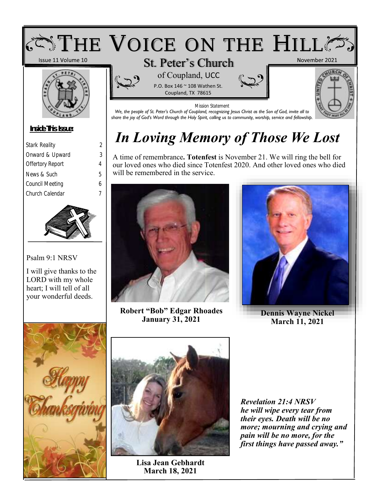

## *In Loving Memory of Those We Lost*

A time of remembrance**. Totenfest** is November 21. We will ring the bell for our loved ones who died since Totenfest 2020. And other loved ones who died will be remembered in the service.



**Robert "Bob" Edgar Rhoades January 31, 2021**



**Dennis Wayne Nickel March 11, 2021**



*Stark Reality 2 Onward & Upward 3 Offertory Report 4 News & Such 5 Council Meeting 6 Church Calendar 7*

Psalm 9:1 NRSV

I will give thanks to the LORD with my whole heart; I will tell of all your wonderful deeds.



**Lisa Jean Gebhardt March 18, 2021**

*Revelation 21:4 NRSV he will wipe every tear from their eyes. Death will be no more; mourning and crying and pain will be no more, for the first things have passed away."*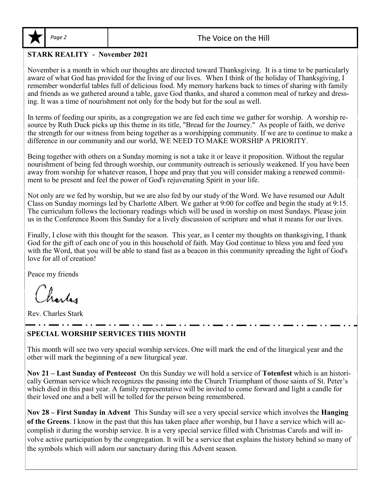

#### **STARK REALITY - November 2021**

November is a month in which our thoughts are directed toward Thanksgiving. It is a time to be particularly aware of what God has provided for the living of our lives. When I think of the holiday of Thanksgiving, I remember wonderful tables full of delicious food. My memory harkens back to times of sharing with family and friends as we gathered around a table, gave God thanks, and shared a common meal of turkey and dressing. It was a time of nourishment not only for the body but for the soul as well.

In terms of feeding our spirits, as a congregation we are fed each time we gather for worship. A worship resource by Ruth Duck picks up this theme in its title, "Bread for the Journey." As people of faith, we derive the strength for our witness from being together as a worshipping community. If we are to continue to make a difference in our community and our world, WE NEED TO MAKE WORSHIP A PRIORITY.

Being together with others on a Sunday morning is not a take it or leave it proposition. Without the regular nourishment of being fed through worship, our community outreach is seriously weakened. If you have been away from worship for whatever reason, I hope and pray that you will consider making a renewed commitment to be present and feel the power of God's rejuvenating Spirit in your life.

Not only are we fed by worship, but we are also fed by our study of the Word. We have resumed our Adult Class on Sunday mornings led by Charlotte Albert. We gather at 9:00 for coffee and begin the study at 9:15. The curriculum follows the lectionary readings which will be used in worship on most Sundays. Please join us in the Conference Room this Sunday for a lively discussion of scripture and what it means for our lives.

Finally, I close with this thought for the season. This year, as I center my thoughts on thanksgiving, I thank God for the gift of each one of you in this household of faith. May God continue to bless you and feed you with the Word, that you will be able to stand fast as a beacon in this community spreading the light of God's love for all of creation!

Peace my friends

Charles

Rev. Charles Stark

#### **SPECIAL WORSHIP SERVICES THIS MONTH**

This month will see two very special worship services. One will mark the end of the liturgical year and the other will mark the beginning of a new liturgical year.

**Nov 21 – Last Sunday of Pentecost** On this Sunday we will hold a service of **Totenfest** which is an historically German service which recognizes the passing into the Church Triumphant of those saints of St. Peter's which died in this past year. A family representative will be invited to come forward and light a candle for their loved one and a bell will be tolled for the person being remembered.

**Nov 28 – First Sunday in Advent** This Sunday will see a very special service which involves the **Hanging of the Greens**. I know in the past that this has taken place after worship, but I have a service which will accomplish it during the worship service. It is a very special service filled with Christmas Carols and will involve active participation by the congregation. It will be a service that explains the history behind so many of the symbols which will adorn our sanctuary during this Advent season.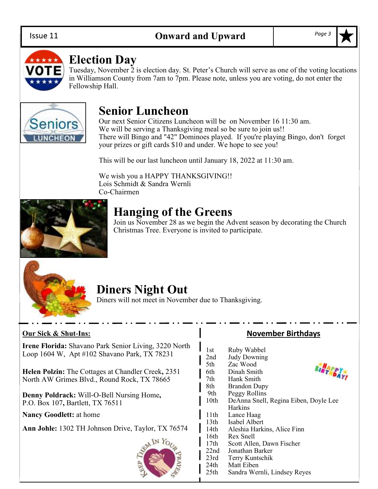#### Issue 11



## **Election Day**

Tuesday, November 2 is election day. St. Peter's Church will serve as one of the voting locations in Williamson County from 7am to 7pm. Please note, unless you are voting, do not enter the Fellowship Hall.



## **Senior Luncheon**

Our next Senior Citizens Luncheon will be on November 16 11:30 am. We will be serving a Thanksgiving meal so be sure to join us!! There will Bingo and "42" Dominoes played. If you're playing Bingo, don't forget your prizes or gift cards \$10 and under. We hope to see you!

This will be our last luncheon until January 18, 2022 at 11:30 am.

We wish you a HAPPY THANKSGIVING!! Lois Schmidt & Sandra Wernli Co-Chairmen



## **Hanging of the Greens**

Join us November 28 as we begin the Advent season by decorating the Church Christmas Tree. Everyone is invited to participate.



## **Diners Night Out**

Diners will not meet in November due to Thanksgiving.

#### **Our Sick & Shut-Ins:**

**Irene Florida:** Shavano Park Senior Living, 3220 North Loop 1604 W, Apt #102 Shavano Park, TX 78231

**Helen Polzin:** The Cottages at Chandler Creek**,** 2351 North AW Grimes Blvd., Round Rock, TX 78665

**Denny Poldrack:** Will-O-Bell Nursing Home**,**  P.O. Box 107**,** Bartlett, TX 76511

**Nancy Goodlett:** at home

**Ann Johle:** 1302 TH Johnson Drive, Taylor, TX 76574



#### **November Birthdays**

**BIRTHDAY!** 

1st Ruby Wabbel 2nd Judy Downing<br>5th Zac Wood Zac Wood 6th Dinah Smith 7th Hank Smith 8th Brandon Dupy 9th Peggy Rollins 10th DeAnna Snell, Regina Eiben, Doyle Lee Harkins 11th Lance Haag 13th Isabel Albert 14th Aleshia Harkins, Alice Finn 16th Rex Snell 17th Scott Allen, Dawn Fischer 22nd Jonathan Barker

- 23rd Terry Kuntschik
	-
- 24th Matt Eiben<br>25th Sandra Wer Sandra Wernli, Lindsey Reyes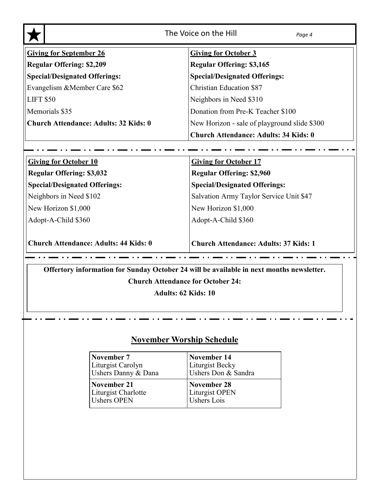| The Voice on the Hill<br>Page 4              |                                              |  |  |  |  |  |
|----------------------------------------------|----------------------------------------------|--|--|--|--|--|
| <b>Giving for September 26</b>               | <b>Giving for October 3</b>                  |  |  |  |  |  |
| <b>Regular Offering: \$2,209</b>             | <b>Regular Offering: \$3,165</b>             |  |  |  |  |  |
| <b>Special/Designated Offerings:</b>         | <b>Special/Designated Offerings:</b>         |  |  |  |  |  |
| Evangelism & Member Care \$62                | <b>Christian Education \$87</b>              |  |  |  |  |  |
| <b>LIFT \$50</b>                             | Neighbors in Need \$310                      |  |  |  |  |  |
| Memorials \$35                               | Donation from Pre-K Teacher \$100            |  |  |  |  |  |
| <b>Church Attendance: Adults: 32 Kids: 0</b> | New Horizon - sale of playground slide \$300 |  |  |  |  |  |
|                                              | <b>Church Attendance: Adults: 34 Kids: 0</b> |  |  |  |  |  |
|                                              |                                              |  |  |  |  |  |
| <b>Giving for October 10</b>                 | <b>Giving for October 17</b>                 |  |  |  |  |  |
| <b>Regular Offering: \$3,032</b>             | <b>Regular Offering: \$2,960</b>             |  |  |  |  |  |
| <b>Special/Designated Offerings:</b>         | <b>Special/Designated Offerings:</b>         |  |  |  |  |  |
| Neighbors in Need \$102                      | Salvation Army Taylor Service Unit \$47      |  |  |  |  |  |
| New Horizon \$1,000                          | New Horizon \$1,000                          |  |  |  |  |  |

Adopt-A-Child \$360

**Church Attendance: Adults: 44 Kids: 0**

**Church Attendance: Adults: 37 Kids: 1**

Adopt-A-Child \$360

**Offertory information for Sunday October 24 will be available in next months newsletter.**

 $\sim 10$ 

**Church Attendance for October 24:** 

**Adults: 62 Kids: 10**

**November Worship Schedule**

| November 7          | November 14         |
|---------------------|---------------------|
| Liturgist Carolyn   | Liturgist Becky     |
| Ushers Danny & Dana | Ushers Don & Sandra |
| November 21         | November 28         |
| Liturgist Charlotte | Liturgist OPEN      |
| <b>Ushers OPEN</b>  | <b>Ushers</b> Lois  |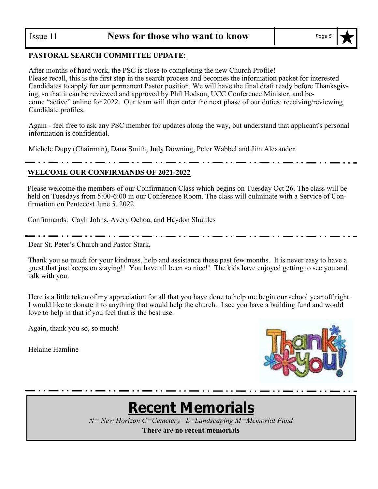#### **PASTORAL SEARCH COMMITTEE UPDATE:**

After months of hard work, the PSC is close to completing the new Church Profile! Please recall, this is the first step in the search process and becomes the information packet for interested Candidates to apply for our permanent Pastor position. We will have the final draft ready before Thanksgiving, so that it can be reviewed and approved by Phil Hodson, UCC Conference Minister, and become "active" online for 2022. Our team will then enter the next phase of our duties: receiving/reviewing Candidate profiles.

Again - feel free to ask any PSC member for updates along the way, but understand that applicant's personal information is confidential.

Michele Dupy (Chairman), Dana Smith, Judy Downing, Peter Wabbel and Jim Alexander.

#### **WELCOME OUR CONFIRMANDS OF 2021-2022**

Please welcome the members of our Confirmation Class which begins on Tuesday Oct 26. The class will be held on Tuesdays from 5:00-6:00 in our Conference Room. The class will culminate with a Service of Confirmation on Pentecost June 5, 2022.

Confirmands: Cayli Johns, Avery Ochoa, and Haydon Shuttles

Dear St. Peter's Church and Pastor Stark,

Thank you so much for your kindness, help and assistance these past few months. It is never easy to have a guest that just keeps on staying!! You have all been so nice!! The kids have enjoyed getting to see you and talk with you.

Here is a little token of my appreciation for all that you have done to help me begin our school year off right. I would like to donate it to anything that would help the church. I see you have a building fund and would love to help in that if you feel that is the best use.

Again, thank you so, so much!

Helaine Hamline



. . . <u>. . .</u> . . <u>. . . . . . . .</u> . . .

## **Recent Memorials**

*N= New Horizon C=Cemetery L=Landscaping M=Memorial Fund*

**There are no recent memorials**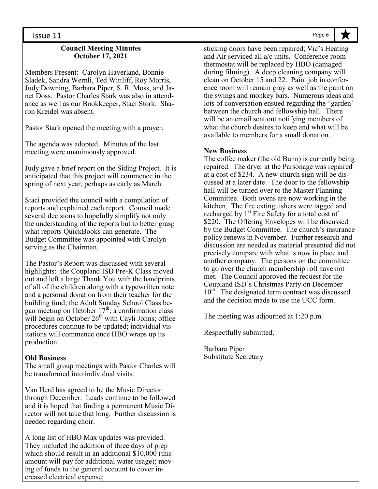#### **Council Meeting Minutes October 17, 2021**

Members Present: Carolyn Haverland, Bonnie Sladek, Sandra Wernli, Ted Wittliff, Roy Morris, Judy Downing, Barbara Piper, S. R. Moss, and Janet Doss. Pastor Charles Stark was also in attendance as well as our Bookkeeper, Staci Stork. Sharon Kreidel was absent.

Pastor Stark opened the meeting with a prayer.

The agenda was adopted. Minutes of the last meeting were unanimously approved.

Judy gave a brief report on the Siding Project. It is anticipated that this project will commence in the spring of next year, perhaps as early as March.

Staci provided the council with a compilation of reports and explained each report. Council made several decisions to hopefully simplify not only the understanding of the reports but to better grasp what reports QuickBooks can generate. The Budget Committee was appointed with Carolyn serving as the Chairman.

The Pastor's Report was discussed with several highlights: the Coupland ISD Pre-K Class moved out and left a large Thank You with the handprints of all of the children along with a typewritten note and a personal donation from their teacher for the building fund; the Adult Sunday School Class began meeting on October  $17<sup>th</sup>$ ; a confirmation class will begin on October  $26<sup>th</sup>$  with Cayli Johns; office procedures continue to be updated; individual visitations will commence once HBO wraps up its production.

#### **Old Business**

The small group meetings with Pastor Charles will be transformed into individual visits.

Van Herd has agreed to be the Music Director through December. Leads continue to be followed and it is hoped that finding a permanent Music Director will not take that long. Further discussion is needed regarding choir.

A long list of HBO Max updates was provided. They included the addition of three days of prep which should result in an additional \$10,000 (this amount will pay for additional water usage); moving of funds to the general account to cover increased electrical expense;

sticking doors have been repaired; Vic's Heating and Air serviced all a/c units. Conference room thermostat will be replaced by HBO (damaged during filming). A deep cleaning company will clean on October 15 and 22. Paint job in conference room will remain gray as well as the paint on the swings and monkey bars. Numerous ideas and lots of conversation ensued regarding the "garden' between the church and fellowship hall. There will be an email sent out notifying members of what the church desires to keep and what will be available to members for a small donation.

#### **New Business**

The coffee maker (the old Bunn) is currently being repaired. The dryer at the Parsonage was repaired at a cost of \$234. A new church sign will be discussed at a later date. The door to the fellowship hall will be turned over to the Master Planning Committee. Both ovens are now working in the kitchen. The fire extinguishers were tagged and recharged by  $1<sup>st</sup>$  Fire Safety for a total cost of \$220. The Offering Envelopes will be discussed by the Budget Committee. The church's insurance policy renews in November. Further research and discussion are needed as material presented did not precisely compare with what is now in place and another company. The persons on the committee to go over the church membership roll have not met. The Council approved the request for the Coupland ISD's Christmas Party on December  $10<sup>th</sup>$ . The designated term contract was discussed and the decision made to use the UCC form.

The meeting was adjourned at 1:20 p.m.

Respectfully submitted,

Barbara Piper Substitute Secretary *Page 6*

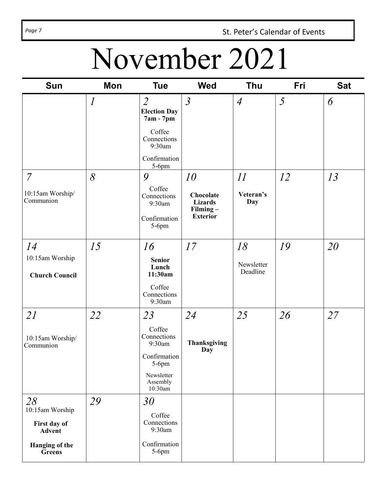Page 7 **St. Peter's Calendar of Events** 

# November 2021

| <b>Sun</b>                                       | Mon            | <b>Tue</b>                                         | <b>Wed</b>                                 | <b>Thu</b>             | Fri | <b>Sat</b> |
|--------------------------------------------------|----------------|----------------------------------------------------|--------------------------------------------|------------------------|-----|------------|
|                                                  | $\overline{l}$ | $\overline{2}$<br><b>Election Day</b><br>7am - 7pm | $\mathfrak{Z}$                             | $\overline{4}$         | 5   | 6          |
|                                                  |                | Coffee<br>Connections<br>9:30am                    |                                            |                        |     |            |
|                                                  |                | Confirmation<br>$5-6$ pm                           |                                            |                        |     |            |
| $\overline{7}$                                   | 8              | 9                                                  | 10                                         | 11                     | 12  | 13         |
| 10:15am Worship/<br>Communion                    |                | Coffee<br>Connections<br>9:30am                    | Chocolate<br><b>Lizards</b><br>$Filming -$ | Veteran's<br>Day       |     |            |
|                                                  |                | Confirmation<br>$5-6$ pm                           | <b>Exterior</b>                            |                        |     |            |
| 14                                               | 15             | 16                                                 | 17                                         | 18                     | 19  | 20         |
| 10:15am Worship<br><b>Church Council</b>         |                | <b>Senior</b><br>Lunch<br>11:30am                  |                                            | Newsletter<br>Deadline |     |            |
|                                                  |                | Coffee<br>Connections<br>9:30am                    |                                            |                        |     |            |
| 21                                               | 22             | 23                                                 | 24                                         | 25                     | 26  | 27         |
| 10:15am Worship/<br>Communion                    |                | Coffee<br>Connections<br>9:30am                    | Thanksgiving<br>Day                        |                        |     |            |
|                                                  |                | Confirmation<br>$5-6$ pm                           |                                            |                        |     |            |
|                                                  |                | Newsletter<br>Assembly<br>$10:30$ am               |                                            |                        |     |            |
| 28                                               | 29             | 30                                                 |                                            |                        |     |            |
| 10:15am Worship<br>First day of<br><b>Advent</b> |                | Coffee<br>Connections<br>9:30am                    |                                            |                        |     |            |
| Hanging of the<br>Greens                         |                | Confirmation<br>$5-6$ pm                           |                                            |                        |     |            |